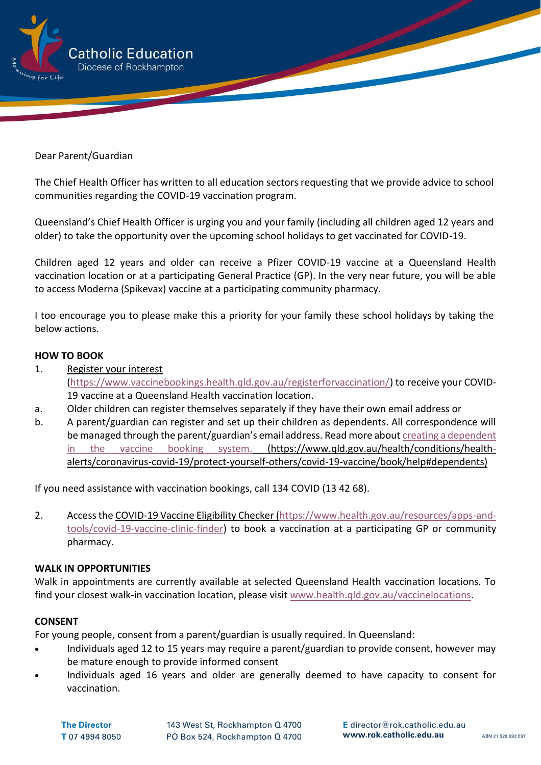

Dear Parent/Guardian

The Chief Health Officer has written to all education sectors requesting that we provide advice to school communities regarding the COVID-19 vaccination program.

Queensland's Chief Health Officer is urging you and your family (including all children aged 12 years and older) to take the opportunity over the upcoming school holidays to get vaccinated for COVID-19.

Children aged 12 years and older can receive a Pfizer COVID-19 vaccine at a Queensland Health vaccination location or at a participating General Practice (GP). In the very near future, you will be able to access Moderna (Spikevax) vaccine at a participating community pharmacy.

I too encourage you to please make this a priority for your family these school holidays by taking the below actions.

## **HOW TO BOOK**

- 1. [Register your interest](https://www.vaccinebookings.health.qld.gov.au/registerforvaccination/) [\(https://www.vaccinebookings.health.qld.gov.au/registerforvaccination/\)](https://www.vaccinebookings.health.qld.gov.au/registerforvaccination/) to receive your COVID-19 vaccine at a Queensland Health vaccination location.
- a. Older children can register themselves separately if they have their own email address or
- b. A parent/guardian can register and set up their children as dependents. All correspondence will be managed through the parent/guardian's email address. Read more about [creating a dependent](https://www.qld.gov.au/health/conditions/health-alerts/coronavirus-covid-19/protect-yourself-others/covid-19-vaccine/book/help#dependents)  [in the vaccine booking system.](https://www.qld.gov.au/health/conditions/health-alerts/coronavirus-covid-19/protect-yourself-others/covid-19-vaccine/book/help#dependents) (https://www.qld.gov.au/health/conditions/healthalerts/coronavirus-covid-19/protect-yourself-others/covid-19-vaccine/book/help#dependents)

If you need assistance with vaccination bookings, call 134 COVID (13 42 68).

2. Access th[e COVID-19 Vaccine Eligibility Checker](https://www.health.gov.au/resources/apps-and-tools/covid-19-vaccine-clinic-finder) [\(https://www.health.gov.au/resources/apps-and](https://www.health.gov.au/resources/apps-and-tools/covid-19-vaccine-clinic-finder)[tools/covid-19-vaccine-clinic-finder\)](https://www.health.gov.au/resources/apps-and-tools/covid-19-vaccine-clinic-finder) to book a vaccination at a participating GP or community pharmacy.

## **WALK IN OPPORTUNITIES**

Walk in appointments are currently available at selected Queensland Health vaccination locations. To find your closest walk-in vaccination location, please visit [www.health.qld.gov.au/vaccinelocations.](http://www.health.qld.gov.au/vaccinelocations)

## **CONSENT**

For young people, consent from a parent/guardian is usually required. In Queensland:

- Individuals aged 12 to 15 years may require a parent/guardian to provide consent, however may be mature enough to provide informed consent
- Individuals aged 16 years and older are generally deemed to have capacity to consent for vaccination.